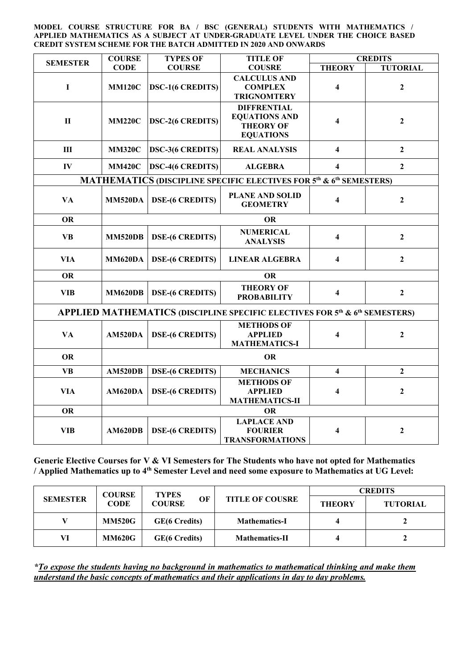**MODEL COURSE STRUCTURE FOR BA / BSC (GENERAL) STUDENTS WITH MATHEMATICS / APPLIED MATHEMATICS AS A SUBJECT AT UNDER-GRADUATE LEVEL UNDER THE CHOICE BASED CREDIT SYSTEM SCHEME FOR THE BATCH ADMITTED IN 2020 AND ONWARDS**

| <b>SEMESTER</b>                                                                                     | <b>COURSE</b>  | <b>TYPES OF</b>         | <b>TITLE OF</b>                                                                    |                         | <b>CREDITS</b>  |  |  |
|-----------------------------------------------------------------------------------------------------|----------------|-------------------------|------------------------------------------------------------------------------------|-------------------------|-----------------|--|--|
|                                                                                                     | <b>CODE</b>    | <b>COURSE</b>           | <b>COUSRE</b>                                                                      | <b>THEORY</b>           | <b>TUTORIAL</b> |  |  |
| $\mathbf I$                                                                                         | <b>MM120C</b>  | <b>DSC-1(6 CREDITS)</b> | <b>CALCULUS AND</b><br><b>COMPLEX</b><br><b>TRIGNOMTERY</b>                        | 4                       | $\overline{2}$  |  |  |
| $\mathbf{I}$                                                                                        | <b>MM220C</b>  | <b>DSC-2(6 CREDITS)</b> | <b>DIFFRENTIAL</b><br><b>EQUATIONS AND</b><br><b>THEORY OF</b><br><b>EQUATIONS</b> | 4                       | $\overline{2}$  |  |  |
| III                                                                                                 | <b>MM320C</b>  | <b>DSC-3(6 CREDITS)</b> | <b>REAL ANALYSIS</b>                                                               | $\overline{\mathbf{4}}$ | $\overline{2}$  |  |  |
| $\mathbf{IV}$                                                                                       | <b>MM420C</b>  | <b>DSC-4(6 CREDITS)</b> | <b>ALGEBRA</b>                                                                     | $\overline{\mathbf{4}}$ | $\overline{2}$  |  |  |
| MATHEMATICS (DISCIPLINE SPECIFIC ELECTIVES FOR 5 <sup>th</sup> & 6 <sup>th</sup> SEMESTERS)         |                |                         |                                                                                    |                         |                 |  |  |
| <b>VA</b>                                                                                           | <b>MM520DA</b> | <b>DSE-(6 CREDITS)</b>  | <b>PLANE AND SOLID</b><br><b>GEOMETRY</b>                                          | 4                       | $\overline{2}$  |  |  |
| <b>OR</b>                                                                                           | <b>OR</b>      |                         |                                                                                    |                         |                 |  |  |
| <b>VB</b>                                                                                           | <b>MM520DB</b> | <b>DSE-(6 CREDITS)</b>  | <b>NUMERICAL</b><br><b>ANALYSIS</b>                                                | $\overline{\mathbf{4}}$ | $\overline{2}$  |  |  |
| <b>VIA</b>                                                                                          | <b>MM620DA</b> | <b>DSE-(6 CREDITS)</b>  | <b>LINEAR ALGEBRA</b>                                                              | 4                       | $\overline{2}$  |  |  |
| <b>OR</b>                                                                                           | <b>OR</b>      |                         |                                                                                    |                         |                 |  |  |
| <b>VIB</b>                                                                                          | <b>MM620DB</b> | <b>DSE-(6 CREDITS)</b>  | <b>THEORY OF</b><br><b>PROBABILITY</b>                                             | $\overline{\mathbf{4}}$ | $\overline{2}$  |  |  |
| APPLIED MATHEMATICS (DISCIPLINE SPECIFIC ELECTIVES FOR 5 <sup>th</sup> & 6 <sup>th</sup> SEMESTERS) |                |                         |                                                                                    |                         |                 |  |  |
| <b>VA</b>                                                                                           | AM520DA        | <b>DSE-(6 CREDITS)</b>  | <b>METHODS OF</b><br><b>APPLIED</b><br><b>MATHEMATICS-I</b>                        | $\overline{\mathbf{4}}$ | $\overline{2}$  |  |  |
| <b>OR</b>                                                                                           | <b>OR</b>      |                         |                                                                                    |                         |                 |  |  |
| <b>VB</b>                                                                                           | <b>AM520DB</b> | <b>DSE-(6 CREDITS)</b>  | <b>MECHANICS</b>                                                                   | $\overline{\mathbf{4}}$ | $\overline{2}$  |  |  |
| <b>VIA</b>                                                                                          | AM620DA        | <b>DSE-(6 CREDITS)</b>  | <b>METHODS OF</b><br><b>APPLIED</b><br><b>MATHEMATICS-II</b>                       | 4                       | $\overline{2}$  |  |  |
| <b>OR</b>                                                                                           | <b>OR</b>      |                         |                                                                                    |                         |                 |  |  |
| <b>VIB</b>                                                                                          | <b>AM620DB</b> | <b>DSE-(6 CREDITS)</b>  | <b>LAPLACE AND</b><br><b>FOURIER</b><br><b>TRANSFORMATIONS</b>                     | 4                       | $\overline{2}$  |  |  |

**Generic Elective Courses for V & VI Semesters for The Students who have not opted for Mathematics / Applied Mathematics up to 4th Semester Level and need some exposure to Mathematics at UG Level:**

| <b>SEMESTER</b> | <b>COURSE</b><br><b>CODE</b> | <b>TYPES</b><br>OF<br><b>COURSE</b> | <b>TITLE OF COUSRE</b> | <b>CREDITS</b> |                 |
|-----------------|------------------------------|-------------------------------------|------------------------|----------------|-----------------|
|                 |                              |                                     |                        | <b>THEORY</b>  | <b>TUTORIAL</b> |
|                 | <b>MM520G</b>                | <b>GE(6 Credits)</b>                | <b>Mathematics-I</b>   |                |                 |
| VI              | <b>MM620G</b>                | <b>GE(6 Credits)</b>                | <b>Mathematics-II</b>  |                |                 |

*\*To expose the students having no background in mathematics to mathematical thinking and make them understand the basic concepts of mathematics and their applications in day to day problems.*